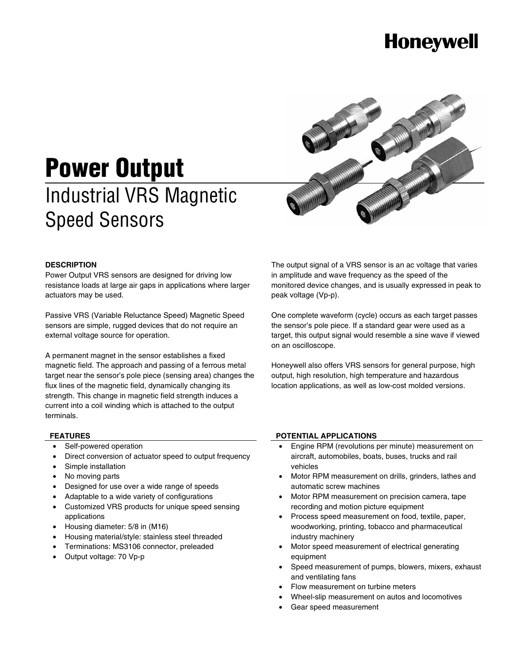# **Honeywell**



# **Power Output**  Industrial VRS Magnetic Speed Sensors

#### **DESCRIPTION**

Power Output VRS sensors are designed for driving low resistance loads at large air gaps in applications where larger actuators may be used.

Passive VRS (Variable Reluctance Speed) Magnetic Speed sensors are simple, rugged devices that do not require an external voltage source for operation.

A permanent magnet in the sensor establishes a fixed magnetic field. The approach and passing of a ferrous metal target near the sensor's pole piece (sensing area) changes the flux lines of the magnetic field, dynamically changing its strength. This change in magnetic field strength induces a current into a coil winding which is attached to the output terminals.

The output signal of a VRS sensor is an ac voltage that varies in amplitude and wave frequency as the speed of the monitored device changes, and is usually expressed in peak to peak voltage (Vp-p).

One complete waveform (cycle) occurs as each target passes the sensor's pole piece. If a standard gear were used as a target, this output signal would resemble a sine wave if viewed on an oscilloscope.

Honeywell also offers VRS sensors for general purpose, high output, high resolution, high temperature and hazardous location applications, as well as low-cost molded versions.

### **FEATURES**

- Self-powered operation
- Direct conversion of actuator speed to output frequency
- Simple installation
- No moving parts
- Designed for use over a wide range of speeds
- Adaptable to a wide variety of configurations
- Customized VRS products for unique speed sensing applications
- Housing diameter: 5/8 in (M16)
- Housing material/style: stainless steel threaded
- Terminations: MS3106 connector, preleaded
- Output voltage: 70 Vp-p

#### **POTENTIAL APPLICATIONS**

- Engine RPM (revolutions per minute) measurement on aircraft, automobiles, boats, buses, trucks and rail vehicles
- Motor RPM measurement on drills, grinders, lathes and automatic screw machines
- Motor RPM measurement on precision camera, tape recording and motion picture equipment
- Process speed measurement on food, textile, paper, woodworking, printing, tobacco and pharmaceutical industry machinery
- Motor speed measurement of electrical generating equipment
- Speed measurement of pumps, blowers, mixers, exhaust and ventilating fans
- Flow measurement on turbine meters
- Wheel-slip measurement on autos and locomotives
- Gear speed measurement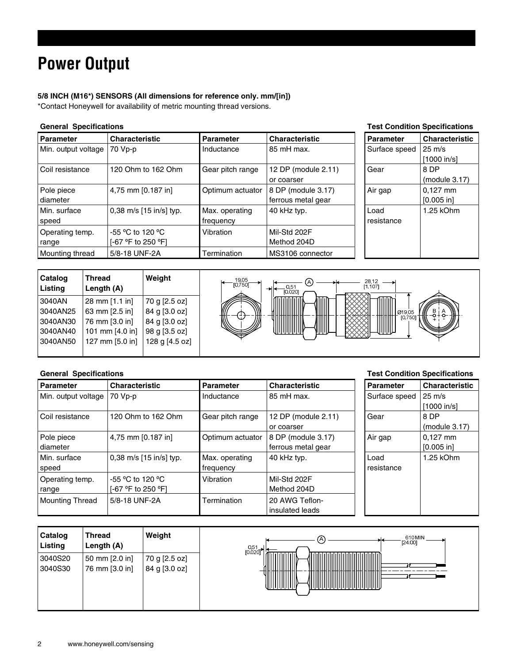## **Power Output**

#### **5/8 INCH (M16\*) SENSORS (All dimensions for reference only. mm/[in])**

\*Contact Honeywell for availability of metric mounting thread versions.

### **General Specifications Test Condition Specifications**

#### **Parameter** Characteristic **Parameter** Characteristic **Parameter Characteristic Parameter Parameter** Min. output voltage 70 Vp-p Inductance 85 mH max. Surface speed 25 m/s [1000 in/s] Coil resistance | 120 Ohm to 162 Ohm | Gear pitch range | 12 DP (module 2.11) or coarser Gear 8 DP (module 3.17) Pole piece diameter 4,75 mm  $[0.187 \text{ in}]$  Optimum actuator 8 DP (module 3.17) ferrous metal gear Air gap  $\vert 0,127 \text{ mm} \vert$ [0.005 in] Min. surface speed 0,38 m/s [15 in/s] typ. Max. operating frequency 40 kHz typ. Operating temp. range -55 ºC to 120 ºC [-67 ºF to 250 ºF] Vibration Mil-Std 202F Method 204D Mounting thread | 5/8-18 UNF-2A | Termination | MS3106 connector Load resistance 1.25 kOhm



#### **General Specifications Test Condition Specifications**

| <b>Parameter</b>    | <b>Characteristic</b>   | <b>Parameter</b> | <b>Characteristic</b> | <b>Parameter</b> | <b>Characteristic</b> |
|---------------------|-------------------------|------------------|-----------------------|------------------|-----------------------|
| Min. output voltage | 70 Vp-p                 | Inductance       | 85 mH max.            | Surface speed    | $25 \text{ m/s}$      |
|                     |                         |                  |                       |                  | $[1000$ in/s]         |
| l Coil resistance   | 120 Ohm to 162 Ohm      | Gear pitch range | 12 DP (module 2.11)   | Gear             | 8 DP                  |
|                     |                         |                  | or coarser            |                  | (modue 3.17)          |
| Pole piece          | 4,75 mm [0.187 in]      | Optimum actuator | 8 DP (module 3.17)    | Air gap          | $0.127$ mm            |
| l diameter          |                         |                  | ferrous metal gear    |                  | [0.005 in]            |
| Min. surface        | 0,38 m/s [15 in/s] typ. | Max. operating   | 40 kHz typ.           | Load             | 1.25 kOhm             |
| speed               |                         | frequency        |                       | resistance       |                       |
| Operating temp.     | $-55$ °C to 120 °C      | Vibration        | Mil-Std 202F          |                  |                       |
| range               | [-67 °F to 250 °F]      |                  | Method 204D           |                  |                       |
| Mounting Thread     | 5/8-18 UNF-2A           | Termination      | 20 AWG Teflon-        |                  |                       |
|                     |                         |                  | insulated leads       |                  |                       |

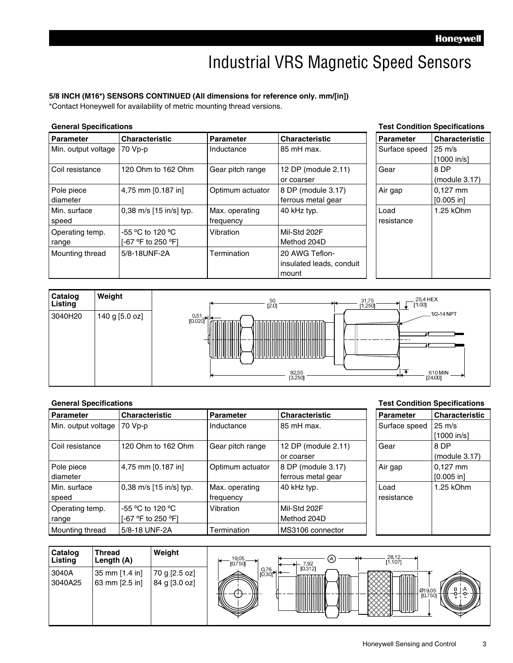### Industrial VRS Magnetic Speed Sensors

#### **5/8 INCH (M16\*) SENSORS CONTINUED (All dimensions for reference only. mm/[in])**

\*Contact Honeywell for availability of metric mounting thread versions.

#### **General Specifications Test Condition Specifications**

| <b>Parameter</b>         | <b>Characteristic</b>                  | <b>Parameter</b>            | <b>Characteristic</b>                               | <b>Parameter</b>   | <b>Characteristic</b>           |
|--------------------------|----------------------------------------|-----------------------------|-----------------------------------------------------|--------------------|---------------------------------|
| Min. output voltage      | 70 Vp-p                                | Inductance                  | 85 mH max.                                          | Surface speed      | $25 \text{ m/s}$<br>[1000 in/s] |
| Coil resistance          | 120 Ohm to 162 Ohm                     | Gear pitch range            | 12 DP (module 2.11)<br>or coarser                   | Gear               | 8 DP<br>(modue 3.17)            |
| Pole piece<br>diameter   | 4,75 mm [0.187 in]                     | Optimum actuator            | 8 DP (module 3.17)<br>ferrous metal gear            | Air gap            | $0.127$ mm<br>$[0.005$ in       |
| Min. surface<br>speed    | 0,38 m/s [15 in/s] typ.                | Max. operating<br>frequency | 40 kHz typ.                                         | Load<br>resistance | 1.25 kOhm                       |
| Operating temp.<br>range | -55 °C to 120 °C<br>[-67 °F to 250 °F] | Vibration                   | Mil-Std 202F<br>Method 204D                         |                    |                                 |
| Mounting thread          | 5/8-18UNF-2A                           | Termination                 | 20 AWG Teflon-<br>insulated leads, conduit<br>mount |                    |                                 |



#### **General Specifications Test Condition Specifications Parameter** Characteristic **Parameter** Characteristic **Parameter** Characteristic Min. output voltage 70 Vp-p **Inductance** 85 mH max. **Inductance** 85 mH max. [1000 in/s] Coil resistance | 120 Ohm to 162 Ohm | Gear pitch range | 12 DP (module 2.11) or coarser Gear 8 DP (module 3.17) Pole piece diameter 4,75 mm  $[0.187 \text{ in}]$  | Optimum actuator | 8 DP (module 3.17) ferrous metal gear Air gap  $\vert 0,127 \text{ mm} \vert$ [0.005 in] Min. surface speed 0,38 m/s [15 in/s] typ. Max. operating frequency 40 kHz typ. Operating temp. range -55 ºC to 120 ºC [-67 ºF to 250 ºF] Vibration Mil-Std 202F Method 204D Mounting thread | 5/8-18 UNF-2A | Termination | MS3106 connector Load resistance 1.25 kOhm

| Catalog<br>Listing | <b>Thread</b><br>Length (A)      | Weight                         | 28,12<br>[1.107]<br>19,05<br>[0.750]<br>O<br>7.92                        |
|--------------------|----------------------------------|--------------------------------|--------------------------------------------------------------------------|
| 3040A<br>3040A25   | 35 mm [1.4 in]<br>63 mm [2.5 in] | 70 g [2.5 oz]<br>84 g [3.0 oz] | [0.312]<br>$0,76$<br>[0.30]<br>VIII<br>))<br>в<br>Ø19.05<br>[0.750]<br>₩ |